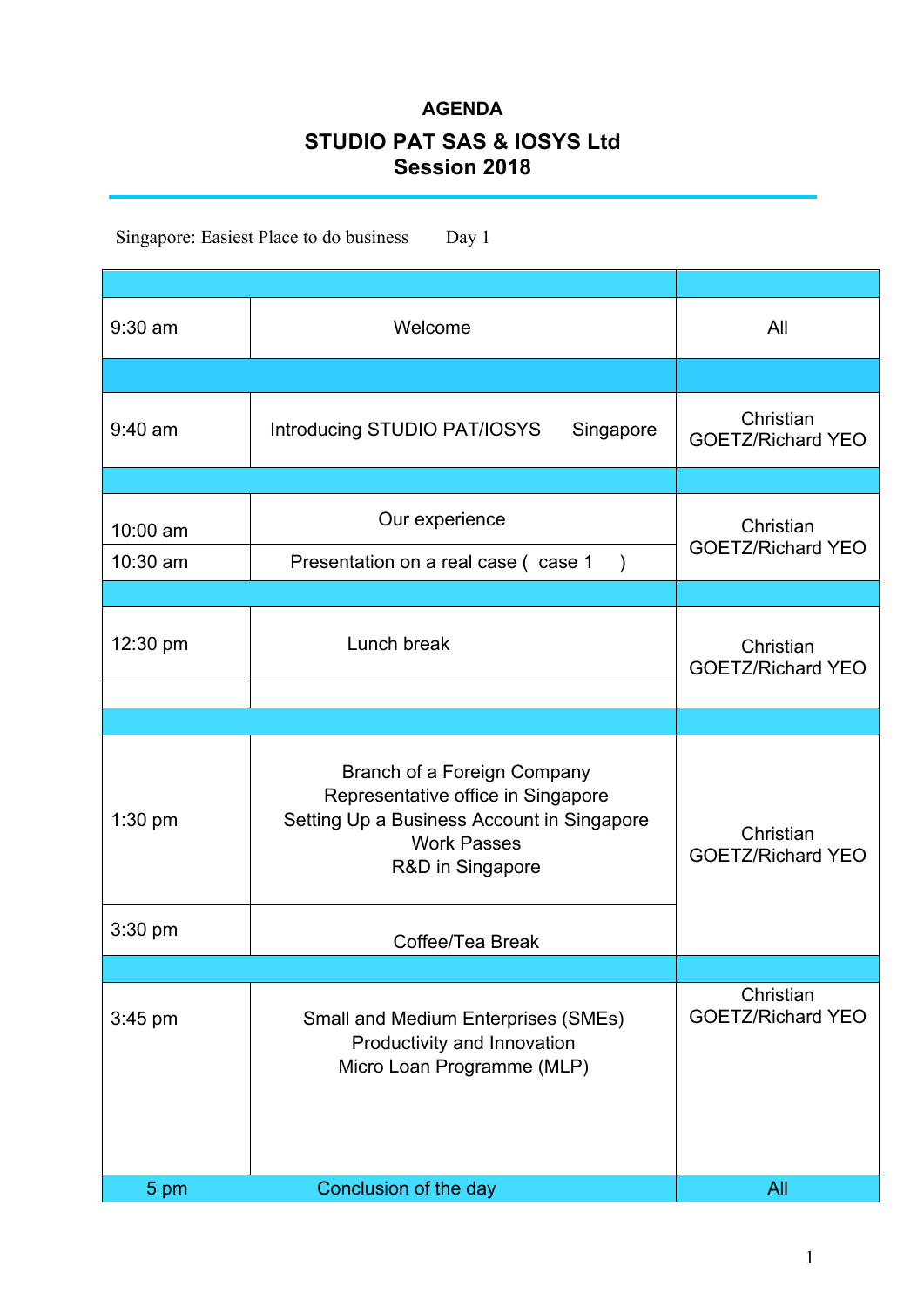## **AGENDA STUDIO PAT SAS & IOSYS Ltd Session 2018**

Singapore: Easiest Place to do business Day 1

| $9:30$ am | Welcome                                                                                                                                                   | All                                   |
|-----------|-----------------------------------------------------------------------------------------------------------------------------------------------------------|---------------------------------------|
|           |                                                                                                                                                           |                                       |
| $9:40$ am | Introducing STUDIO PAT/IOSYS<br>Singapore                                                                                                                 | Christian<br><b>GOETZ/Richard YEO</b> |
|           |                                                                                                                                                           |                                       |
| 10:00 am  | Our experience                                                                                                                                            | Christian<br><b>GOETZ/Richard YEO</b> |
| 10:30 am  | Presentation on a real case (case 1<br>$\lambda$                                                                                                          |                                       |
|           |                                                                                                                                                           |                                       |
| 12:30 pm  | Lunch break                                                                                                                                               | Christian<br><b>GOETZ/Richard YEO</b> |
|           |                                                                                                                                                           |                                       |
| $1:30$ pm | Branch of a Foreign Company<br>Representative office in Singapore<br>Setting Up a Business Account in Singapore<br><b>Work Passes</b><br>R&D in Singapore | Christian<br><b>GOETZ/Richard YEO</b> |
| $3:30$ pm | Coffee/Tea Break                                                                                                                                          |                                       |
|           |                                                                                                                                                           |                                       |
| $3:45$ pm | <b>Small and Medium Enterprises (SMEs)</b><br>Productivity and Innovation<br>Micro Loan Programme (MLP)                                                   | Christian<br><b>GOETZ/Richard YEO</b> |
| 5 pm      | Conclusion of the day                                                                                                                                     | All                                   |